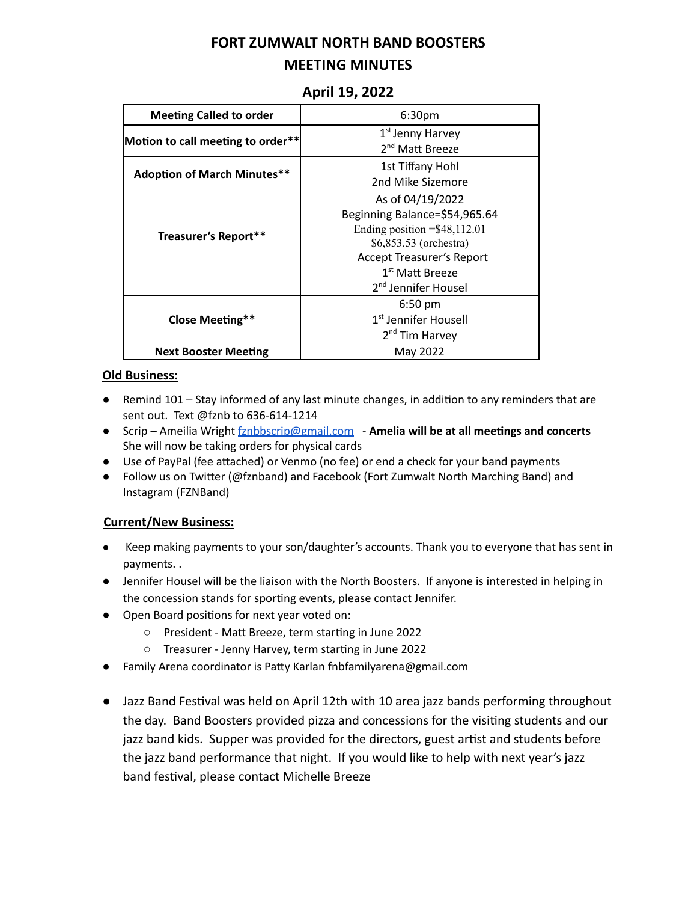## **FORT ZUMWALT NORTH BAND BOOSTERS MEETING MINUTES**

| <b>Meeting Called to order</b>     | 6:30pm                                   |
|------------------------------------|------------------------------------------|
| Motion to call meeting to order**  | 1 <sup>st</sup> Jenny Harvey             |
|                                    | 2 <sup>nd</sup> Matt Breeze              |
| <b>Adoption of March Minutes**</b> | 1st Tiffany Hohl                         |
|                                    | 2nd Mike Sizemore                        |
| Treasurer's Report**               | As of 04/19/2022                         |
|                                    | Beginning Balance=\$54,965.64            |
|                                    | Ending position $=\frac{48,112.01}{\pi}$ |
|                                    | \$6,853.53 (orchestra)                   |
|                                    | <b>Accept Treasurer's Report</b>         |
|                                    | 1 <sup>st</sup> Matt Breeze              |
|                                    | 2 <sup>nd</sup> Jennifer Housel          |
| Close Meeting**                    | $6:50$ pm                                |
|                                    | 1 <sup>st</sup> Jennifer Housell         |
|                                    | 2 <sup>nd</sup> Tim Harvey               |
| <b>Next Booster Meeting</b>        | May 2022                                 |

### **April 19, 2022**

#### **Old Business:**

- Remind 101 Stay informed of any last minute changes, in addition to any reminders that are sent out. Text @fznb to 636-614-1214
- Scrip Ameilia Wright [fznbbscrip@gmail.com](mailto:fznbbscrip@gmail.com) **Amelia will be at all meengs and concerts** She will now be taking orders for physical cards
- Use of PayPal (fee attached) or Venmo (no fee) or end a check for your band payments
- Follow us on Twitter (@fznband) and Facebook (Fort Zumwalt North Marching Band) and Instagram (FZNBand)

#### **Current/New Business:**

- Keep making payments to your son/daughter's accounts. Thank you to everyone that has sent in payments. .
- Jennifer Housel will be the liaison with the North Boosters. If anyone is interested in helping in the concession stands for sporting events, please contact Jennifer.
- Open Board positions for next year voted on:
	- President Matt Breeze, term starting in June 2022
	- Treasurer Jenny Harvey, term starting in June 2022
- Family Arena coordinator is Patty Karlan fnbfamilyarena@gmail.com
- Jazz Band Festival was held on April 12th with 10 area jazz bands performing throughout the day. Band Boosters provided pizza and concessions for the visiting students and our jazz band kids. Supper was provided for the directors, guest artist and students before the jazz band performance that night. If you would like to help with next year's jazz band festival, please contact Michelle Breeze